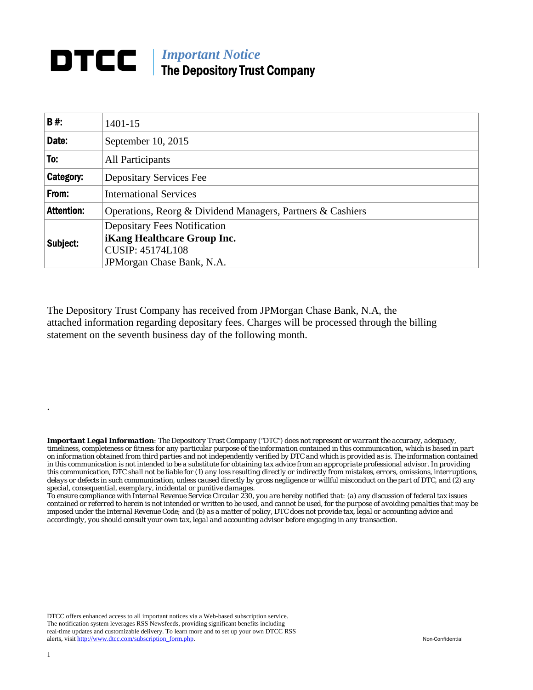## **DTCC** | *Important Notice* The Depository Trust Company

| <b>B#:</b>        | $1401 - 15$                                                |  |  |  |  |  |
|-------------------|------------------------------------------------------------|--|--|--|--|--|
| Date:             | September 10, 2015                                         |  |  |  |  |  |
| To:               | All Participants                                           |  |  |  |  |  |
| Category:         | <b>Depositary Services Fee</b>                             |  |  |  |  |  |
| From:             | <b>International Services</b>                              |  |  |  |  |  |
| <b>Attention:</b> | Operations, Reorg & Dividend Managers, Partners & Cashiers |  |  |  |  |  |
| Subject:          | <b>Depositary Fees Notification</b>                        |  |  |  |  |  |
|                   | <b>iKang Healthcare Group Inc.</b>                         |  |  |  |  |  |
|                   | <b>CUSIP: 45174L108</b>                                    |  |  |  |  |  |
|                   | JPM organ Chase Bank, N.A.                                 |  |  |  |  |  |

The Depository Trust Company has received from JPMorgan Chase Bank, N.A, the attached information regarding depositary fees. Charges will be processed through the billing statement on the seventh business day of the following month.

*Important Legal Information: The Depository Trust Company ("DTC") does not represent or warrant the accuracy, adequacy, timeliness, completeness or fitness for any particular purpose of the information contained in this communication, which is based in part on information obtained from third parties and not independently verified by DTC and which is provided as is. The information contained in this communication is not intended to be a substitute for obtaining tax advice from an appropriate professional advisor. In providing this communication, DTC shall not be liable for (1) any loss resulting directly or indirectly from mistakes, errors, omissions, interruptions, delays or defects in such communication, unless caused directly by gross negligence or willful misconduct on the part of DTC, and (2) any special, consequential, exemplary, incidental or punitive damages.* 

*To ensure compliance with Internal Revenue Service Circular 230, you are hereby notified that: (a) any discussion of federal tax issues contained or referred to herein is not intended or written to be used, and cannot be used, for the purpose of avoiding penalties that may be imposed under the Internal Revenue Code; and (b) as a matter of policy, DTC does not provide tax, legal or accounting advice and accordingly, you should consult your own tax, legal and accounting advisor before engaging in any transaction.*

DTCC offers enhanced access to all important notices via a Web-based subscription service. The notification system leverages RSS Newsfeeds, providing significant benefits including real-time updates and customizable delivery. To learn more and to set up your own DTCC RSS alerts, visit http://www.dtcc.com/subscription\_form.php. Non-Confidential

.